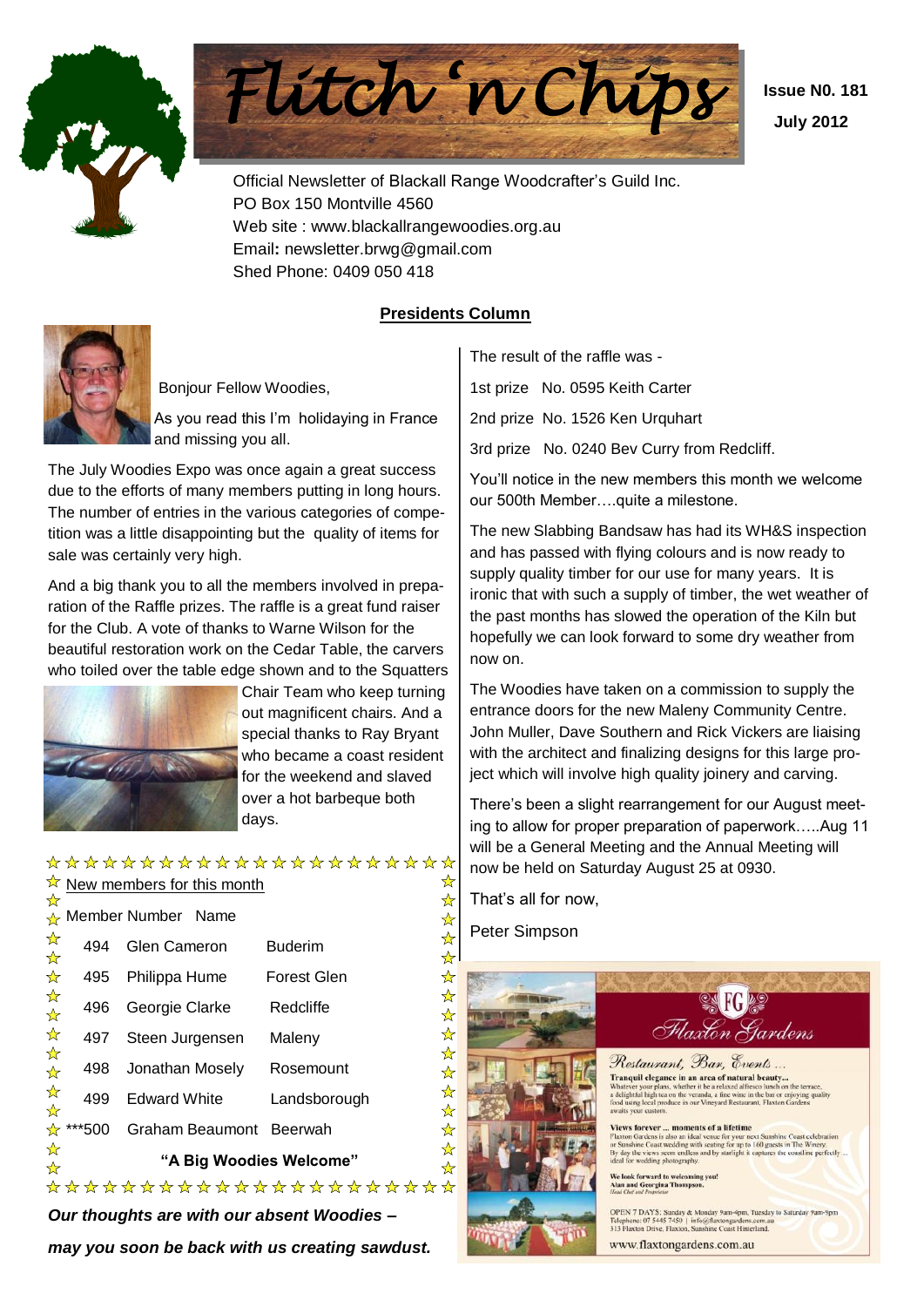



Official Newsletter of Blackall Range Woodcrafter's Guild Inc. PO Box 150 Montville 4560 Web site : www.blackallrangewoodies.org.au Email**:** newsletter.brwg@gmail.com Shed Phone: 0409 050 418

 **Issue N0. 181 July 2012**

#### **Presidents Column**



Bonjour Fellow Woodies,

As you read this I'm holidaying in France and missing you all.

The July Woodies Expo was once again a great success due to the efforts of many members putting in long hours. The number of entries in the various categories of competition was a little disappointing but the quality of items for sale was certainly very high.

And a big thank you to all the members involved in preparation of the Raffle prizes. The raffle is a great fund raiser for the Club. A vote of thanks to Warne Wilson for the beautiful restoration work on the Cedar Table, the carvers who toiled over the table edge shown and to the Squatters



Chair Team who keep turning out magnificent chairs. And a special thanks to Ray Bryant who became a coast resident for the weekend and slaved over a hot barbeque both days.

#### \*\*\*\*\*\*\*\*\*\*\*\*\*\*\*\*\*\*\*\*\*\* ☆

|                           |                         | ☆ New members for this month |                      |  |  |  |  |  |  |
|---------------------------|-------------------------|------------------------------|----------------------|--|--|--|--|--|--|
| ❖                         |                         | Member Number Name           |                      |  |  |  |  |  |  |
| 卒                         | 494                     | Glen Cameron                 | <b>Buderim</b>       |  |  |  |  |  |  |
| ☆                         | 495                     | Philippa Hume                | Forest Glen          |  |  |  |  |  |  |
| ☆☆                        | 496                     | Georgie Clarke               | Redcliffe            |  |  |  |  |  |  |
| ☆                         | 497                     | Steen Jurgensen              | Maleny               |  |  |  |  |  |  |
| 卒                         |                         | 498 Jonathan Mosely          | Rosemount            |  |  |  |  |  |  |
| 卒                         | 499                     | <b>Edward White</b>          | Landsborough         |  |  |  |  |  |  |
|                           | ☆ ***500                | Graham Beaumont Beerwah      |                      |  |  |  |  |  |  |
| ☆<br>$\frac{1}{\sqrt{2}}$ | "A Big Woodies Welcome" |                              |                      |  |  |  |  |  |  |
|                           |                         |                              | ******************** |  |  |  |  |  |  |

*Our thoughts are with our absent Woodies – may you soon be back with us creating sawdust.* The result of the raffle was -

1st prize No. 0595 Keith Carter

2nd prize No. 1526 Ken Urquhart

3rd prize No. 0240 Bev Curry from Redcliff.

You'll notice in the new members this month we welcome our 500th Member….quite a milestone.

The new Slabbing Bandsaw has had its WH&S inspection and has passed with flying colours and is now ready to supply quality timber for our use for many years. It is ironic that with such a supply of timber, the wet weather of the past months has slowed the operation of the Kiln but hopefully we can look forward to some dry weather from now on.

The Woodies have taken on a commission to supply the entrance doors for the new Maleny Community Centre. John Muller, Dave Southern and Rick Vickers are liaising with the architect and finalizing designs for this large project which will involve high quality joinery and carving.

There's been a slight rearrangement for our August meeting to allow for proper preparation of paperwork…..Aug 11 will be a General Meeting and the Annual Meeting will now be held on Saturday August 25 at 0930.

That's all for now,

Peter Simpson

计好好好

24 24 2

24 24 2

 $\frac{1}{2}$ 

华华玲:

 $\frac{1}{2}$ 

 $\frac{1}{\mathbf{k}}$ 

 $\frac{1}{\sqrt{2}}$ 



Flaxton Gardens Restaurant, Bar, Events... Tranquil elegance in an area of natural beauty... **Tanque etgance in an area of natural persury...**<br>Thatever your plans, whether it be a relaxed alfresco lunch on the terrace,<br>delightful high tea on the veranda, a fine wine in the bar or enjoying quality<br>ood using local

**SK FG &** 

**Views forever ... moments of a lifetime**<br>Flaxton Gardens is also an ideal venue for your next Sunshine Coast celebration<br>or Sunshine Coast wedding with scating for up to 160 guests in The Winery.<br>By day the views seem end wedding photography

.<br>We look forward to welcoming you!<br>Alan and Georgina Thompson.

OPEN 7 DAYS: Sunday & Monday 9am-4pm, Tuesday to Saturday 9am-9pm Telephone: 07 5445 7450 | info@flaxtongardens.com.au<br>313 Flaxton Drive, Flaxton, Sunshine Coast Hinterland.

www.flaxtongardens.com.au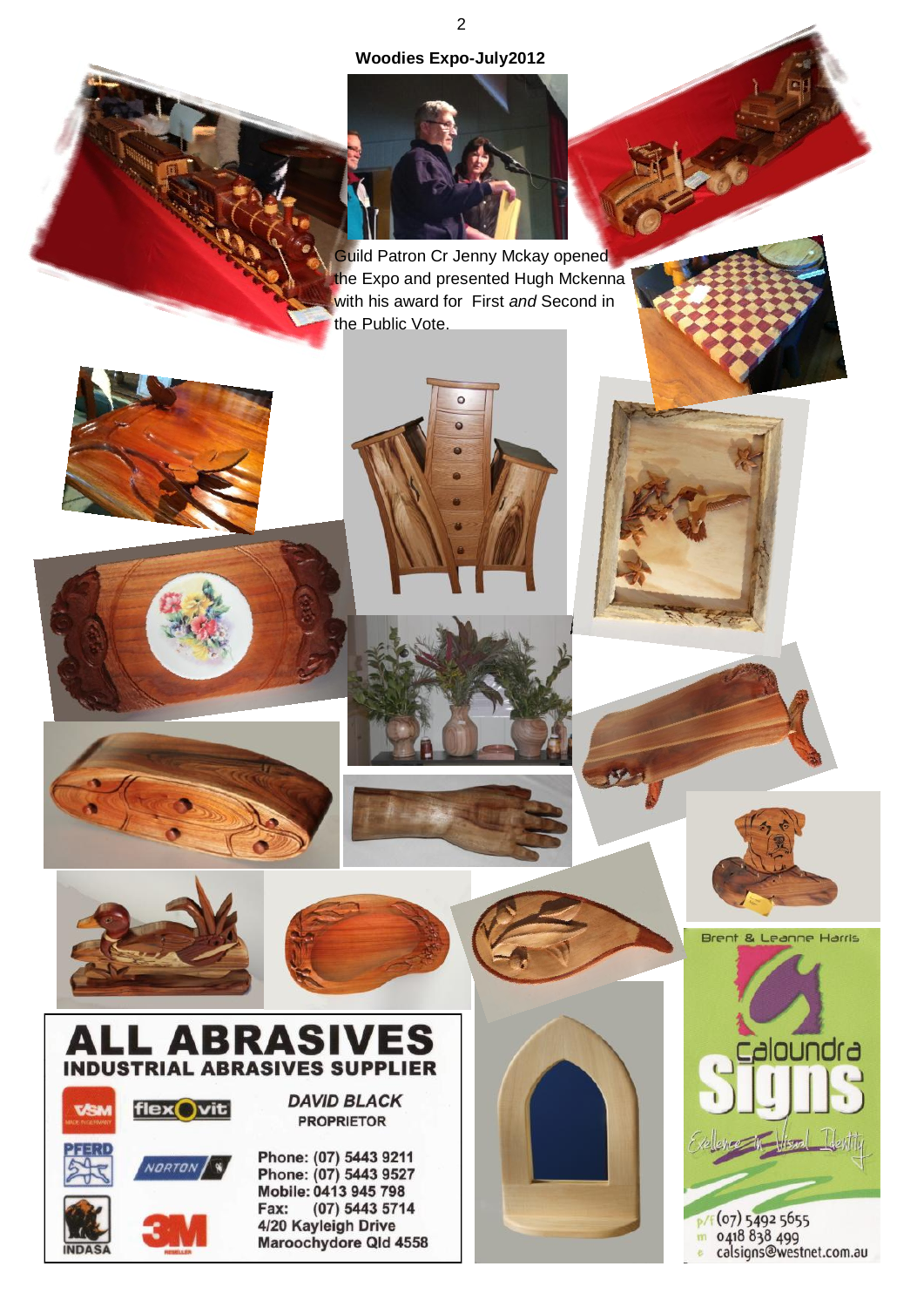#### **Woodies Expo-July2012**



Guild Patron Cr Jenny Mckay opened the Expo and presented Hugh Mckenna with his award for First *and* Second in the Public Vote.

 $\circ$ 











Brent & Leanne Harris

shoundra:



# **TRIAL ABRASIVES SUPPLIER**



**INDAS** 

**DAVID BLACK PROPRIETOR** 

Phone: (07) 5443 9211 Phone: (07) 5443 9527 Mobile: 0413 945 798 Fax: (07) 5443 5714<br>4/20 Kayleigh Drive Maroochydore Qld 4558



p/f (07) 5492 5655<br>m 0418 838 499<br>e calsigns@westnet.com.au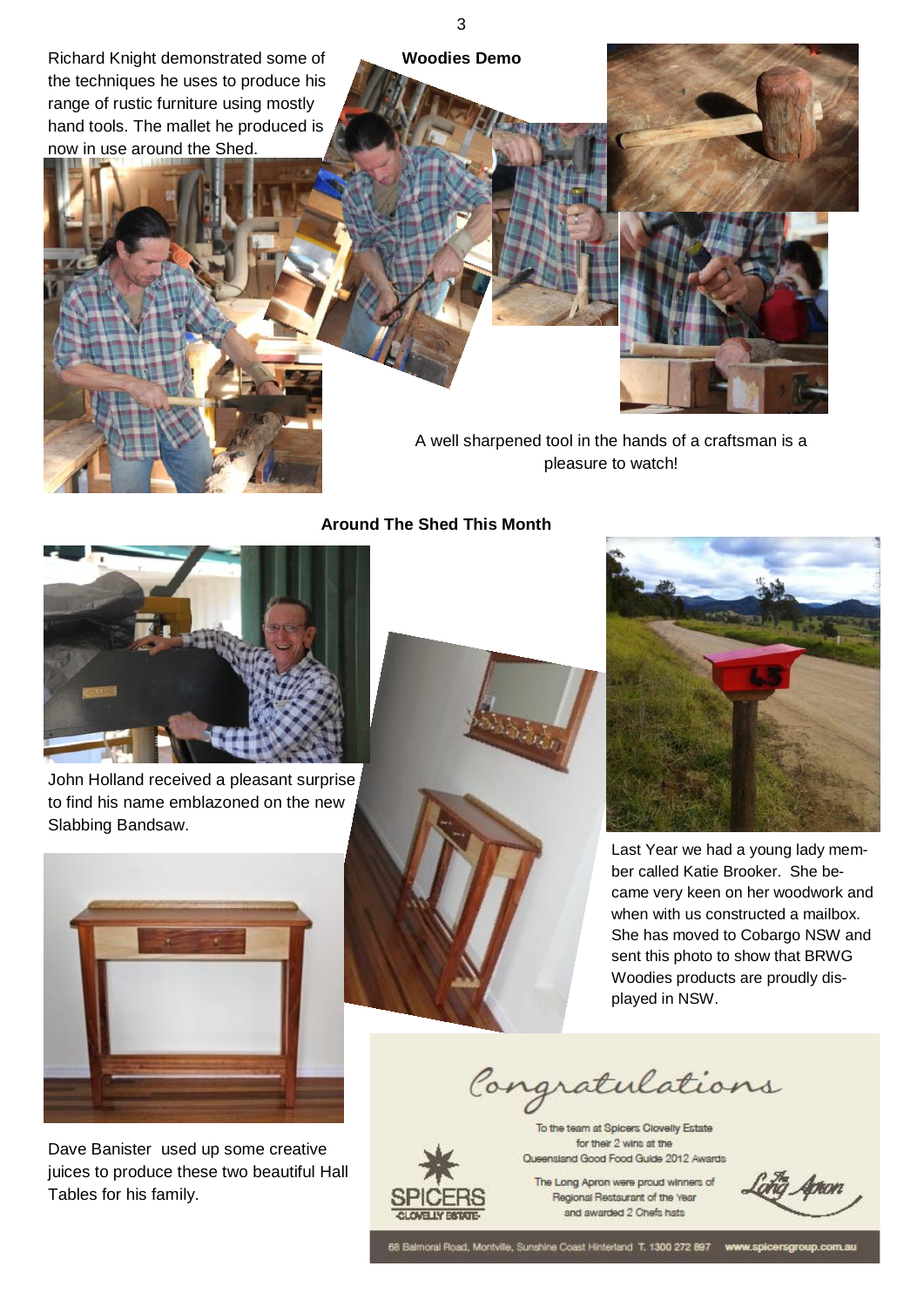Richard Knight demonstrated some of **Woodies Demo** the techniques he uses to produce his range of rustic furniture using mostly hand tools. The mallet he produced is now in use around the Shed.



3



A well sharpened tool in the hands of a craftsman is a pleasure to watch!

#### **Around The Shed This Month**



John Holland received a pleasant surprise to find his name emblazoned on the new Slabbing Bandsaw.



Dave Banister used up some creative juices to produce these two beautiful Hall Tables for his family.





Last Year we had a young lady member called Katie Brooker. She became very keen on her woodwork and when with us constructed a mailbox. She has moved to Cobargo NSW and sent this photo to show that BRWG Woodies products are proudly displayed in NSW.

Congratulations

To the team at Spicers Clovelly Estate for their 2 wins at the



Queensland Good Food Guide 2012 Awards The Long Apron were proud winners of Regional Restaurant of the Year

and awarded 2 Chefs hats

68 Balmoral Road, Montville, Sunshine Coast Hinterland T. 1300 272 897 www.spicersgroup.com.au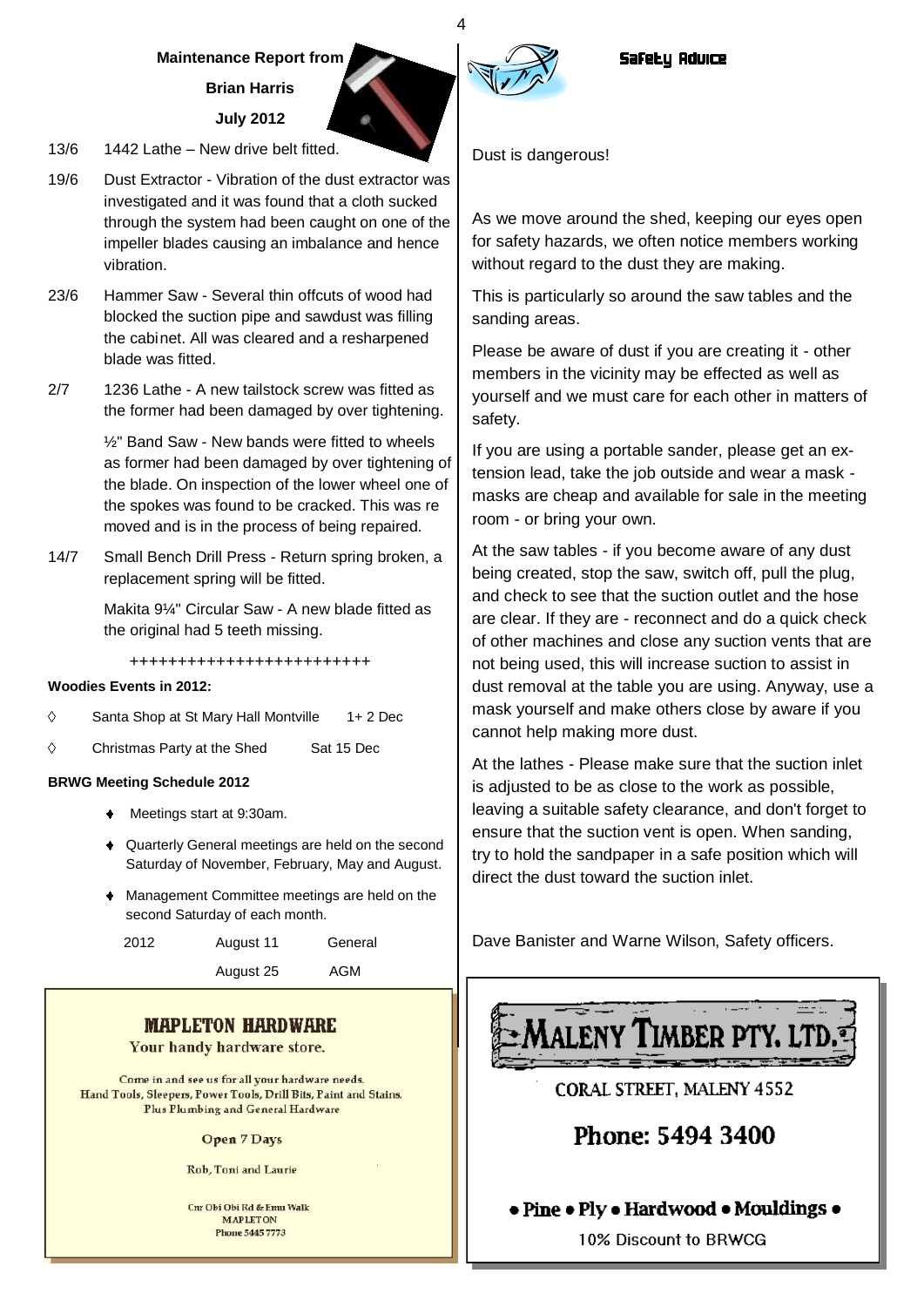### **Maintenance Report from**

**Brian Harris**

#### **July 2012**

- 13/6 1442 Lathe New drive belt fitted.
- 19/6 Dust Extractor Vibration of the dust extractor was investigated and it was found that a cloth sucked through the system had been caught on one of the impeller blades causing an imbalance and hence vibration.
- 23/6 Hammer Saw Several thin offcuts of wood had blocked the suction pipe and sawdust was filling the cabinet. All was cleared and a resharpened blade was fitted.
- 2/7 1236 Lathe A new tailstock screw was fitted as the former had been damaged by over tightening.

½" Band Saw - New bands were fitted to wheels as former had been damaged by over tightening of the blade. On inspection of the lower wheel one of the spokes was found to be cracked. This was re moved and is in the process of being repaired.

14/7 Small Bench Drill Press - Return spring broken, a replacement spring will be fitted.

> Makita 9¼" Circular Saw - A new blade fitted as the original had 5 teeth missing.

+++++++++++++++++++++++++

#### **Woodies Events in 2012:**

- $\Diamond$ Santa Shop at St Mary Hall Montville 1+ 2 Dec
- $\Diamond$ Christmas Party at the Shed Sat 15 Dec

#### **BRWG Meeting Schedule 2012**

- Meetings start at 9:30am.
- Quarterly General meetings are held on the second Saturday of November, February, May and August.
- Management Committee meetings are held on the second Saturday of each month.

| 2012 | August 11 | General |
|------|-----------|---------|
|      | August 25 | AGM     |

#### **MAPLETON HARDWARE**

Your handy hardware store.

Come in and see us for all your hardware needs. Hand Tools, Sleepers, Power Tools, Drill Bits, Paint and Stains. Plus Plumbing and General Hardware

#### **Open 7 Days**

**Rob. Toni and Laurie** 

Cnr Obi Obi Rd & Emu Walk **MAPLETON Phone 5445 7773** 

Dust is dangerous!

As we move around the shed, keeping our eyes open for safety hazards, we often notice members working without regard to the dust they are making.

This is particularly so around the saw tables and the sanding areas.

Please be aware of dust if you are creating it - other members in the vicinity may be effected as well as yourself and we must care for each other in matters of safety.

If you are using a portable sander, please get an extension lead, take the job outside and wear a mask masks are cheap and available for sale in the meeting room - or bring your own.

At the saw tables - if you become aware of any dust being created, stop the saw, switch off, pull the plug, and check to see that the suction outlet and the hose are clear. If they are - reconnect and do a quick check of other machines and close any suction vents that are not being used, this will increase suction to assist in dust removal at the table you are using. Anyway, use a mask yourself and make others close by aware if you cannot help making more dust.

At the lathes - Please make sure that the suction inlet is adjusted to be as close to the work as possible, leaving a suitable safety clearance, and don't forget to ensure that the suction vent is open. When sanding, try to hold the sandpaper in a safe position which will direct the dust toward the suction inlet.

Dave Banister and Warne Wilson, Safety officers.



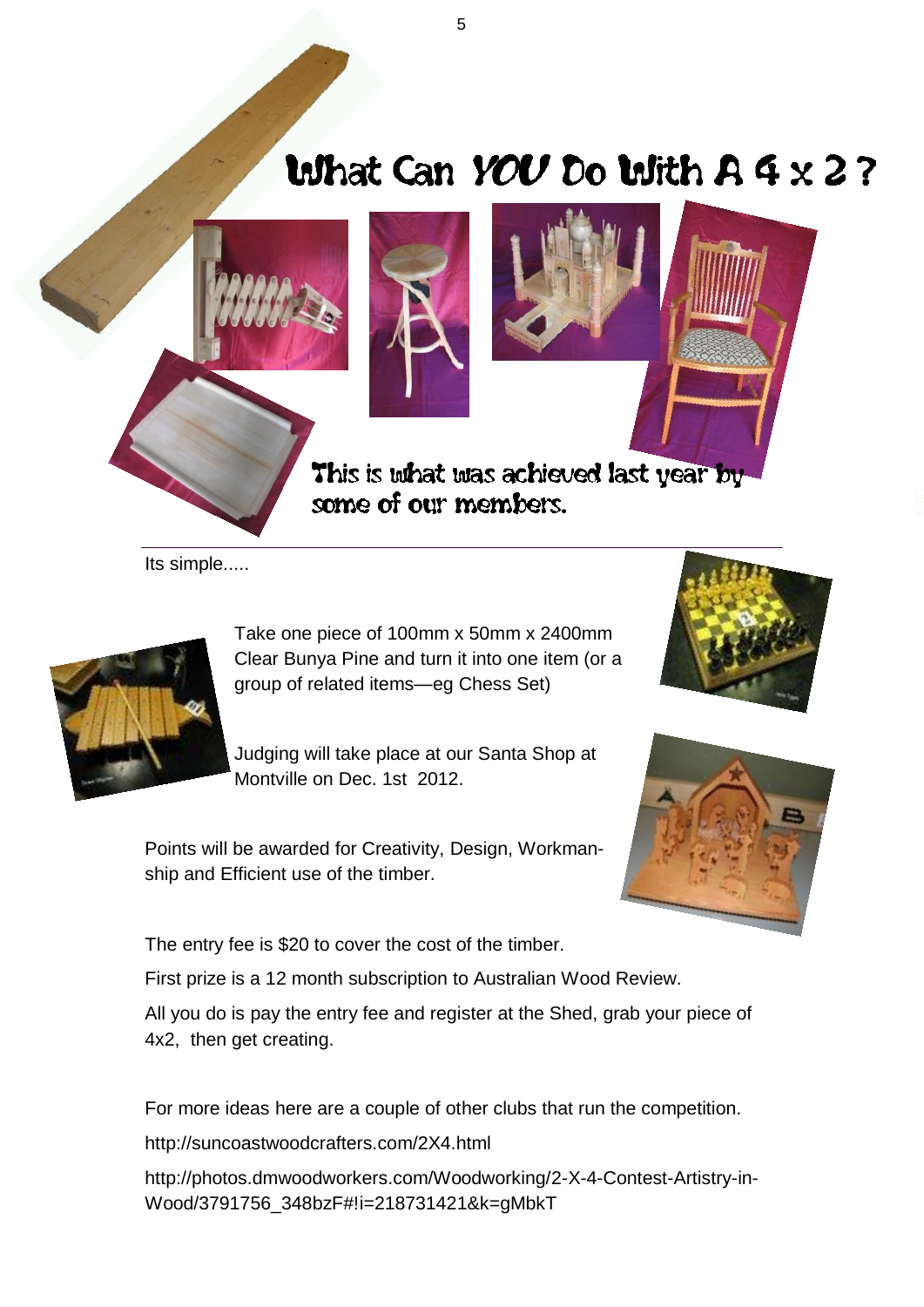## What Can YOU Do With  $A 4 \times 2$  ?



Its simple.....



Take one piece of 100mm x 50mm x 2400mm Clear Bunya Pine and turn it into one item (or a group of related items—eg Chess Set)

Judging will take place at our Santa Shop at Montville on Dec. 1st 2012.





Points will be awarded for Creativity, Design, Workmanship and Efficient use of the timber.

The entry fee is \$20 to cover the cost of the timber.

First prize is a 12 month subscription to Australian Wood Review.

All you do is pay the entry fee and register at the Shed, grab your piece of 4x2, then get creating.

For more ideas here are a couple of other clubs that run the competition.

http://suncoastwoodcrafters.com/2X4.html

http://photos.dmwoodworkers.com/Woodworking/2-X-4-Contest-Artistry-in-Wood/3791756\_348bzF#!i=218731421&k=gMbkT